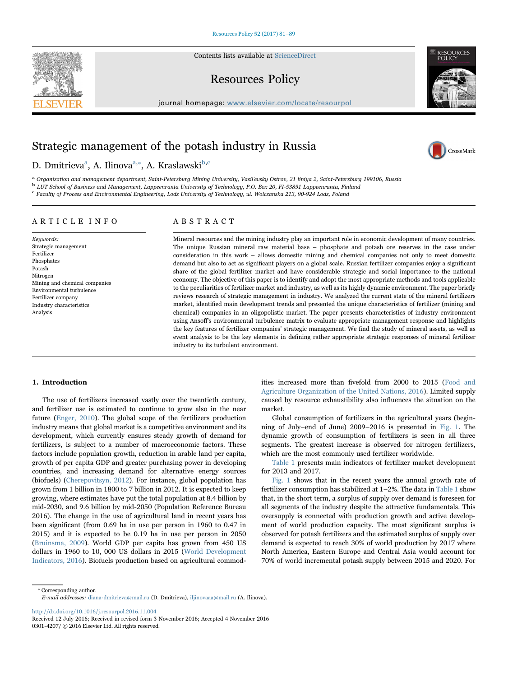Contents lists available at [ScienceDirect](http://www.sciencedirect.com/science/journal/03014207)

# Resources Policy

journal homepage: [www.elsevier.com/locate/resourpol](http://www.elsevier.com/locate/resourpol)

# Strategic management of the potash industry in Russia

D. Dmitrieva<sup>a</sup>[,](#page-0-0) [A.](#page-0-0) [Ilinova](#page-0-0)<sup>a,</sup>\*[, A. Kraslawski](#page-0-1)<sup>[b,](#page-0-2)[c](#page-0-3)</sup>

<span id="page-0-2"></span><span id="page-0-0"></span><sup>a</sup> Organization and management department, Saint-Petersburg Mining University, Vasil'evsky Ostrov, 21 liniya 2, Saint-Petersburg 199106, Russia<br><sup>b</sup> LUT School of Business and Management, Lappeenranta University of Techno

<span id="page-0-3"></span><sup>c</sup> Faculty of Process and Environmental Engineering, Lodz University of Technology, ul. Wolczanska 213, 90-924 Lodz, Poland

# ARTICLE INFO

Keywords: Strategic management Fertilizer Phosphates Potash Nitrogen Mining and chemical companies Environmental turbulence Fertilizer company Industry characteristics Analysis

# ABSTRACT

Mineral resources and the mining industry play an important role in economic development of many countries. The unique Russian mineral raw material base – phosphate and potash ore reserves in the case under consideration in this work – allows domestic mining and chemical companies not only to meet domestic demand but also to act as significant players on a global scale. Russian fertilizer companies enjoy a significant share of the global fertilizer market and have considerable strategic and social importance to the national economy. The objective of this paper is to identify and adopt the most appropriate methods and tools applicable to the peculiarities of fertilizer market and industry, as well as its highly dynamic environment. The paper briefly reviews research of strategic management in industry. We analyzed the current state of the mineral fertilizers market, identified main development trends and presented the unique characteristics of fertilizer (mining and chemical) companies in an oligopolistic market. The paper presents characteristics of industry environment using Ansoff's environmental turbulence matrix to evaluate appropriate management response and highlights the key features of fertilizer companies' strategic management. We find the study of mineral assets, as well as event analysis to be the key elements in defining rather appropriate strategic responses of mineral fertilizer industry to its turbulent environment.

## 1. Introduction

The use of fertilizers increased vastly over the twentieth century, and fertilizer use is estimated to continue to grow also in the near future [\(Enger, 2010](#page-8-0)). The global scope of the fertilizers production industry means that global market is a competitive environment and its development, which currently ensures steady growth of demand for fertilizers, is subject to a number of macroeconomic factors. These factors include population growth, reduction in arable land per capita, growth of per capita GDP and greater purchasing power in developing countries, and increasing demand for alternative energy sources (biofuels) ([Cherepovitsyn, 2012\)](#page-8-1). For instance, global population has grown from 1 billion in 1800 to 7 billion in 2012. It is expected to keep growing, where estimates have put the total population at 8.4 billion by mid-2030, and 9.6 billion by mid-2050 (Population Reference Bureau 2016). The change in the use of agricultural land in recent years has been significant (from 0.69 ha in use per person in 1960 to 0.47 in 2015) and it is expected to be 0.19 ha in use per person in 2050 ([Bruinsma, 2009](#page-8-2)). World GDP per capita has grown from 450 US dollars in 1960 to 10, 000 US dollars in 2015 ([World Development](#page-8-3) [Indicators, 2016](#page-8-3)). Biofuels production based on agricultural commodities increased more than fivefold from 2000 to 2015 ([Food and](#page-8-4) [Agriculture Organization of the United Nations, 2016\)](#page-8-4). Limited supply caused by resource exhaustibility also influences the situation on the market.

Global consumption of fertilizers in the agricultural years (beginning of July–end of June) 2009–2016 is presented in [Fig. 1.](#page-1-0) The dynamic growth of consumption of fertilizers is seen in all three segments. The greatest increase is observed for nitrogen fertilizers, which are the most commonly used fertilizer worldwide.

[Table 1](#page-1-1) presents main indicators of fertilizer market development for 2013 and 2017.

[Fig. 1](#page-1-0) shows that in the recent years the annual growth rate of fertilizer consumption has stabilized at 1–2%. The data in [Table 1](#page-1-1) show that, in the short term, a surplus of supply over demand is foreseen for all segments of the industry despite the attractive fundamentals. This oversupply is connected with production growth and active development of world production capacity. The most significant surplus is observed for potash fertilizers and the estimated surplus of supply over demand is expected to reach 30% of world production by 2017 where North America, Eastern Europe and Central Asia would account for 70% of world incremental potash supply between 2015 and 2020. For

<span id="page-0-1"></span>⁎ Corresponding author. E-mail addresses: diana-dmitrieva@mail.ru (D. Dmitrieva), iljinovaaa@mail.ru (A. Ilinova).

<http://dx.doi.org/10.1016/j.resourpol.2016.11.004>





CrossMark

Received 12 July 2016; Received in revised form 3 November 2016; Accepted 4 November 2016 0301-4207/ © 2016 Elsevier Ltd. All rights reserved.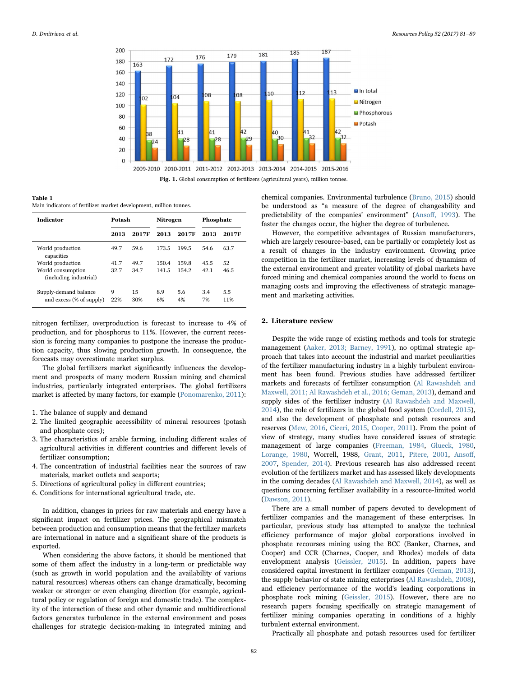<span id="page-1-0"></span>

<span id="page-1-1"></span>Table 1

Main indicators of fertilizer market development, million tonnes.

| Indicator                                         | Potash   |           | <b>Nitrogen</b> |           | Phosphate |            |
|---------------------------------------------------|----------|-----------|-----------------|-----------|-----------|------------|
|                                                   | 2013     | 2017F     | 2013            | 2017F     | 2013      | 2017F      |
| World production<br>capacities                    | 49.7     | 59.6      | 173.5           | 199.5     | 54.6      | 63.7       |
| World production                                  | 41.7     | 49.7      | 150.4           | 159.8     | 45.5      | 52         |
| World consumption<br>(including industrial)       | 32.7     | 34.7      | 141.5           | 154.2     | 42.1      | 46.5       |
| Supply-demand balance<br>and excess (% of supply) | 9<br>22% | 15<br>30% | 8.9<br>6%       | 5.6<br>4% | 3.4<br>7% | 5.5<br>11% |

nitrogen fertilizer, overproduction is forecast to increase to 4% of production, and for phosphorus to 11%. However, the current recession is forcing many companies to postpone the increase the production capacity, thus slowing production growth. In consequence, the forecasts may overestimate market surplus.

The global fertilizers market significantly influences the development and prospects of many modern Russian mining and chemical industries, particularly integrated enterprises. The global fertilizers market is affected by many factors, for example [\(Ponomarenko, 2011](#page-8-5)):

- 1. The balance of supply and demand
- 2. The limited geographic accessibility of mineral resources (potash and phosphate ores);
- 3. The characteristics of arable farming, including different scales of agricultural activities in different countries and different levels of fertilizer consumption;
- 4. The concentration of industrial facilities near the sources of raw materials, market outlets and seaports;
- 5. Directions of agricultural policy in different countries;
- 6. Conditions for international agricultural trade, etc.

In addition, changes in prices for raw materials and energy have a significant impact on fertilizer prices. The geographical mismatch between production and consumption means that the fertilizer markets are international in nature and a significant share of the products is exported.

When considering the above factors, it should be mentioned that some of them affect the industry in a long-term or predictable way (such as growth in world population and the availability of various natural resources) whereas others can change dramatically, becoming weaker or stronger or even changing direction (for example, agricultural policy or regulation of foreign and domestic trade). The complexity of the interaction of these and other dynamic and multidirectional factors generates turbulence in the external environment and poses challenges for strategic decision-making in integrated mining and

chemical companies. Environmental turbulence [\(Bruno, 2015](#page-8-6)) should be understood as "a measure of the degree of changeability and predictability of the companies' environment" (Ansoff[, 1993](#page-8-7)). The faster the changes occur, the higher the degree of turbulence.

However, the competitive advantages of Russian manufacturers, which are largely resource-based, can be partially or completely lost as a result of changes in the industry environment. Growing price competition in the fertilizer market, increasing levels of dynamism of the external environment and greater volatility of global markets have forced mining and chemical companies around the world to focus on managing costs and improving the effectiveness of strategic management and marketing activities.

# 2. Literature review

Despite the wide range of existing methods and tools for strategic management [\(Aaker, 2013; Barney, 1991](#page-8-8)), no optimal strategic approach that takes into account the industrial and market peculiarities of the fertilizer manufacturing industry in a highly turbulent environment has been found. Previous studies have addressed fertilizer markets and forecasts of fertilizer consumption ([Al Rawashdeh and](#page-8-9) [Maxwell, 2011;](#page-8-9) [Al Rawashdeh et al., 2016;](#page-8-10) [Geman, 2013](#page-8-11)), demand and supply sides of the fertilizer industry [\(Al Rawashdeh and Maxwell,](#page-8-12) [2014\)](#page-8-12), the role of fertilizers in the global food system [\(Cordell, 2015\)](#page-8-13), and also the development of phosphate and potash resources and reserves ([Mew, 2016,](#page-8-14) [Ciceri,](#page-8-15) 2015, [Cooper, 2011](#page-8-16)). From the point of view of strategy, many studies have considered issues of strategic management of large companies [\(Freeman, 1984,](#page-8-17) [Glueck, 1980](#page-8-18), [Lorange, 1980,](#page-8-19) Worrell, 1988, [Grant, 2011,](#page-8-20) [Pitere, 2001,](#page-8-21) [Anso](#page-8-22)ff, [2007,](#page-8-22) [Spender, 2014](#page-8-23)). Previous research has also addressed recent evolution of the fertilizers market and has assessed likely developments in the coming decades ([Al Rawashdeh and Maxwell, 2014](#page-8-12)), as well as questions concerning fertilizer availability in a resource-limited world ([Dawson, 2011\)](#page-8-24).

There are a small number of papers devoted to development of fertilizer companies and the management of these enterprises. In particular, previous study has attempted to analyze the technical efficiency performance of major global corporations involved in phosphate recourses mining using the BCC (Banker, Charnes, and Cooper) and CCR (Charnes, Cooper, and Rhodes) models of data envelopment analysis [\(Geissler, 2015](#page-8-25)). In addition, papers have considered capital investment in fertilizer companies [\(Geman, 2013\)](#page-8-11), the supply behavior of state mining enterprises ([Al Rawashdeh, 2008\)](#page-8-26), and efficiency performance of the world's leading corporations in phosphate rock mining ([Geissler, 2015\)](#page-8-25). However, there are no research papers focusing specifically on strategic management of fertilizer mining companies operating in conditions of a highly turbulent external environment.

Practically all phosphate and potash resources used for fertilizer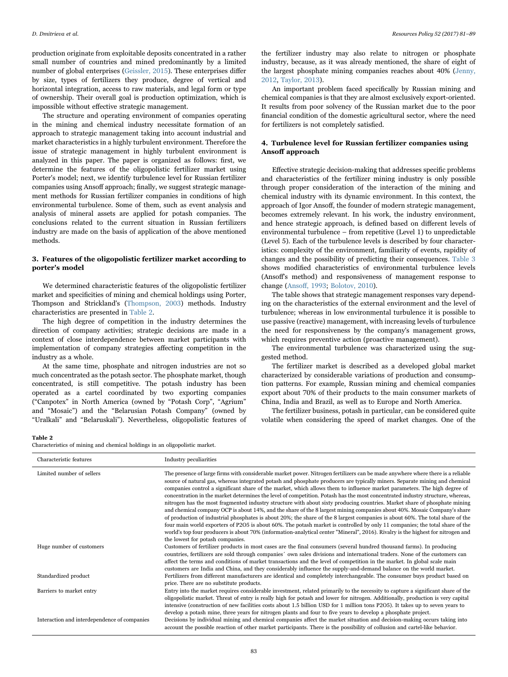production originate from exploitable deposits concentrated in a rather small number of countries and mined predominantly by a limited number of global enterprises [\(Geissler, 2015](#page-8-25)). These enterprises differ by size, types of fertilizers they produce, degree of vertical and horizontal integration, access to raw materials, and legal form or type of ownership. Their overall goal is production optimization, which is impossible without effective strategic management.

The structure and operating environment of companies operating in the mining and chemical industry necessitate formation of an approach to strategic management taking into account industrial and market characteristics in a highly turbulent environment. Therefore the issue of strategic management in highly turbulent environment is analyzed in this paper. The paper is organized as follows: first, we determine the features of the oligopolistic fertilizer market using Porter's model; next, we identify turbulence level for Russian fertilizer companies using Ansoff approach; finally, we suggest strategic management methods for Russian fertilizer companies in conditions of high environmental turbulence. Some of them, such as event analysis and analysis of mineral assets are applied for potash companies. The conclusions related to the current situation in Russian fertilizers industry are made on the basis of application of the above mentioned methods.

# 3. Features of the oligopolistic fertilizer market according to porter's model

We determined characteristic features of the oligopolistic fertilizer market and specificities of mining and chemical holdings using Porter, Thompson and Strickland's ([Thompson, 2003](#page-8-27)) methods. Industry characteristics are presented in [Table 2.](#page-2-0)

The high degree of competition in the industry determines the direction of company activities; strategic decisions are made in a context of close interdependence between market participants with implementation of company strategies affecting competition in the industry as a whole.

At the same time, phosphate and nitrogen industries are not so much concentrated as the potash sector. The phosphate market, though concentrated, is still competitive. The potash industry has been operated as a cartel coordinated by two exporting companies ("Canpotex" in North America (owned by "Potash Сorp", "Agrium" and "Mosaic") and the "Belarusian Potash Company" (owned by "Uralkali" and "Belaruskali"). Nevertheless, oligopolistic features of

the fertilizer industry may also relate to nitrogen or phosphate industry, because, as it was already mentioned, the share of eight of the largest phosphate mining companies reaches about 40% [\(Jenny,](#page-8-28) [2012,](#page-8-28) [Taylor, 2013\)](#page-8-29).

An important problem faced specifically by Russian mining and chemical companies is that they are almost exclusively export-oriented. It results from poor solvency of the Russian market due to the poor financial condition of the domestic agricultural sector, where the need for fertilizers is not completely satisfied.

# 4. Turbulence level for Russian fertilizer companies using Ansoff approach

Effective strategic decision-making that addresses specific problems and characteristics of the fertilizer mining industry is only possible through proper consideration of the interaction of the mining and chemical industry with its dynamic environment. In this context, the approach of Igor Ansoff, the founder of modern strategic management, becomes extremely relevant. In his work, the industry environment, and hence strategic approach, is defined based on different levels of environmental turbulence – from repetitive (Level 1) to unpredictable (Level 5). Each of the turbulence levels is described by four characteristics: complexity of the environment, familiarity of events, rapidity of changes and the possibility of predicting their consequences. [Table 3](#page-3-0) shows modified characteristics of environmental turbulence levels (Ansoff's method) and responsiveness of management response to change (Ansoff[, 1993;](#page-8-7) [Bolotov, 2010\)](#page-8-30).

The table shows that strategic management responses vary depending on the characteristics of the external environment and the level of turbulence; whereas in low environmental turbulence it is possible to use passive (reactive) management, with increasing levels of turbulence the need for responsiveness by the company's management grows, which requires preventive action (proactive management).

The environmental turbulence was characterized using the suggested method.

The fertilizer market is described as a developed global market characterized by considerable variations of production and consumption patterns. For example, Russian mining and chemical companies export about 70% of their products to the main consumer markets of China, India and Brazil, as well as to Europe and North America.

The fertilizer business, potash in particular, can be considered quite volatile when considering the speed of market changes. One of the

#### <span id="page-2-0"></span>Table 2

Characteristics of mining and chemical holdings in an oligopolistic market.

| Characteristic features                      | Industry peculiarities                                                                                                                                                                                                                                                                                                                                                                                                                                                                                                                                                                                                                                                                                                                                                                                                                                                                                                                                                                                                                                                                                                                                                                                                            |
|----------------------------------------------|-----------------------------------------------------------------------------------------------------------------------------------------------------------------------------------------------------------------------------------------------------------------------------------------------------------------------------------------------------------------------------------------------------------------------------------------------------------------------------------------------------------------------------------------------------------------------------------------------------------------------------------------------------------------------------------------------------------------------------------------------------------------------------------------------------------------------------------------------------------------------------------------------------------------------------------------------------------------------------------------------------------------------------------------------------------------------------------------------------------------------------------------------------------------------------------------------------------------------------------|
| Limited number of sellers                    | The presence of large firms with considerable market power. Nitrogen fertilizers can be made anywhere where there is a reliable<br>source of natural gas, whereas integrated potash and phosphate producers are typically miners. Separate mining and chemical<br>companies control a significant share of the market, which allows them to influence market parameters. The high degree of<br>concentration in the market determines the level of competition. Potash has the most concentrated industry structure, whereas,<br>nitrogen has the most fragmented industry structure with about sixty producing countries. Market share of phosphate mining<br>and chemical company OCP is about 14%, and the share of the 8 largest mining companies about 40%. Mosaic Company's share<br>of production of industrial phosphates is about 20%; the share of the 8 largest companies is about 60%. The total share of the<br>four main world exporters of P2O5 is about 60%. The potash market is controlled by only 11 companies; the total share of the<br>world's top four producers is about 70% (information-analytical center "Mineral", 2016). Rivalry is the highest for nitrogen and<br>the lowest for potash companies. |
| Huge number of customers                     | Customers of fertilizer products in most cases are the final consumers (several hundred thousand farms). In producing<br>countries, fertilizers are sold through companies' own sales divisions and international traders. None of the customers can<br>affect the terms and conditions of market transactions and the level of competition in the market. In global scale main<br>customers are India and China, and they considerably influence the supply-and-demand balance on the world market.                                                                                                                                                                                                                                                                                                                                                                                                                                                                                                                                                                                                                                                                                                                              |
| Standardized product                         | Fertilizers from different manufacturers are identical and completely interchangeable. The consumer buys product based on<br>price. There are no substitute products.                                                                                                                                                                                                                                                                                                                                                                                                                                                                                                                                                                                                                                                                                                                                                                                                                                                                                                                                                                                                                                                             |
| Barriers to market entry                     | Entry into the market requires considerable investment, related primarily to the necessity to capture a significant share of the<br>oligopolistic market. Threat of entry is really high for potash and lower for nitrogen. Additionally, production is very capital<br>intensive (construction of new facilities costs about 1.5 billion USD for 1 million tons P2O5). It takes up to seven years to<br>develop a potash mine, three years for nitrogen plants and four to five years to develop a phosphate project.                                                                                                                                                                                                                                                                                                                                                                                                                                                                                                                                                                                                                                                                                                            |
| Interaction and interdependence of companies | Decisions by individual mining and chemical companies affect the market situation and decision-making occurs taking into<br>account the possible reaction of other market participants. There is the possibility of collusion and cartel-like behavior.                                                                                                                                                                                                                                                                                                                                                                                                                                                                                                                                                                                                                                                                                                                                                                                                                                                                                                                                                                           |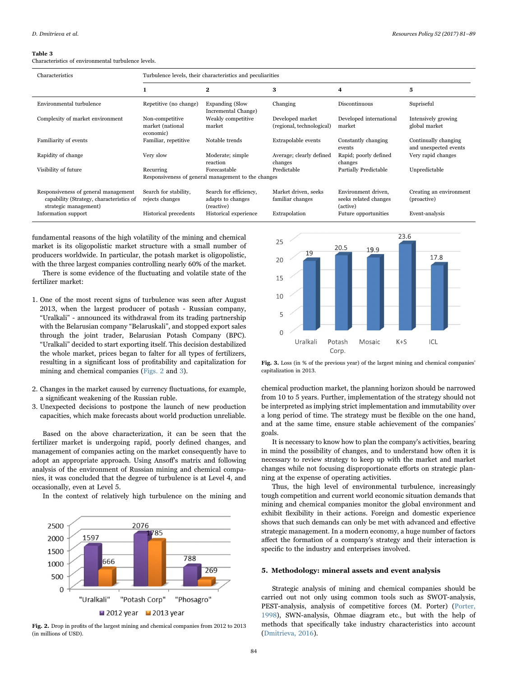<span id="page-3-0"></span>Сharacteristics of environmental turbulence levels.

| Characteristics                                                                                           | Turbulence levels, their characteristics and peculiarities |                                                                     |                                               |                                                          |                                               |
|-----------------------------------------------------------------------------------------------------------|------------------------------------------------------------|---------------------------------------------------------------------|-----------------------------------------------|----------------------------------------------------------|-----------------------------------------------|
|                                                                                                           |                                                            | $\overline{2}$                                                      | 3                                             | 4                                                        | 5                                             |
| Environmental turbulence                                                                                  | Repetitive (no change)                                     | <b>Expanding (Slow</b><br>Incremental Change)                       | Changing                                      | Discontinuous                                            | Supriseful                                    |
| Complexity of market environment                                                                          | Non-competitive<br>market (national<br>economic)           | Weakly competitive<br>market                                        | Developed market<br>(regional, technological) | Developed international<br>market                        | Intensively growing<br>global market          |
| Familiarity of events                                                                                     | Familiar, repetitive                                       | Notable trends                                                      | Extrapolable events                           | Constantly changing<br>events                            | Continually changing<br>and unexpected events |
| Rapidity of change                                                                                        | Very slow                                                  | Moderate; simple<br>reaction                                        | Average; clearly defined<br>changes           | Rapid; poorly defined<br>changes                         | Very rapid changes                            |
| Visibility of future                                                                                      | Recurring                                                  | Forecastable<br>Responsiveness of general management to the changes | Predictable                                   | Partially Predictable                                    | Unpredictable                                 |
| Responsiveness of general management<br>capability (Strategy, characteristics of<br>strategic management) | Search for stability,<br>rejects changes                   | Search for efficiency,<br>adapts to changes<br>(reactive)           | Market driven, seeks<br>familiar changes      | Environment driven,<br>seeks related changes<br>(active) | Creating an environment<br>(proactive)        |
| Information support                                                                                       | Historical precedents                                      | Historical experience                                               | Extrapolation                                 | Future opportunities                                     | Event-analysis                                |

fundamental reasons of the high volatility of the mining and chemical market is its oligopolistic market structure with a small number of producers worldwide. In particular, the potash market is oligopolistic, with the three largest companies controlling nearly 60% of the market.

There is some evidence of the fluctuating and volatile state of the fertilizer market:

- 1. One of the most recent signs of turbulence was seen after August 2013, when the largest producer of potash - Russian company, "Uralkali" - announced its withdrawal from its trading partnership with the Belarusian company "Belaruskali", and stopped export sales through the joint trader, Belarusian Potash Company (BPC). "Uralkali" decided to start exporting itself. This decision destabilized the whole market, prices began to falter for all types of fertilizers, resulting in a significant loss of profitability and capitalization for mining and chemical companies [\(Figs. 2](#page-3-1) and [3](#page-3-2)).
- 2. Changes in the market caused by currency fluctuations, for example, a significant weakening of the Russian ruble.
- 3. Unexpected decisions to postpone the launch of new production capacities, which make forecasts about world production unreliable.

Based on the above characterization, it can be seen that the fertilizer market is undergoing rapid, poorly defined changes, and management of companies acting on the market consequently have to adopt an appropriate approach. Using Ansoff's matrix and following analysis of the environment of Russian mining and chemical companies, it was concluded that the degree of turbulence is at Level 4, and occasionally, even at Level 5.

In the context of relatively high turbulence on the mining and

<span id="page-3-1"></span>

Fig. 2. Drop in profits of the largest mining and chemical companies from 2012 to 2013 (in millions of USD).

<span id="page-3-2"></span>

Fig. 3. Loss (in % of the previous year) of the largest mining and chemical companies' capitalization in 2013.

chemical production market, the planning horizon should be narrowed from 10 to 5 years. Further, implementation of the strategy should not be interpreted as implying strict implementation and immutability over a long period of time. The strategy must be flexible on the one hand, and at the same time, ensure stable achievement of the companies' goals.

It is necessary to know how to plan the company's activities, bearing in mind the possibility of changes, and to understand how often it is necessary to review strategy to keep up with the market and market changes while not focusing disproportionate efforts on strategic planning at the expense of operating activities.

Thus, the high level of environmental turbulence, increasingly tough competition and current world economic situation demands that mining and chemical companies monitor the global environment and exhibit flexibility in their actions. Foreign and domestic experience shows that such demands can only be met with advanced and effective strategic management. In a modern economy, a huge number of factors affect the formation of a company's strategy and their interaction is specific to the industry and enterprises involved.

## 5. Methodology: mineral assets and event analysis

Strategic analysis of mining and chemical companies should be carried out not only using common tools such as SWOT-analysis, PEST-analysis, analysis of competitive forces (M. Porter) [\(Porter,](#page-8-31) [1998\)](#page-8-31), SWN-analysis, Ohmae diagram etc., but with the help of methods that specifically take industry characteristics into account ([Dmitrieva, 2016\)](#page-8-32).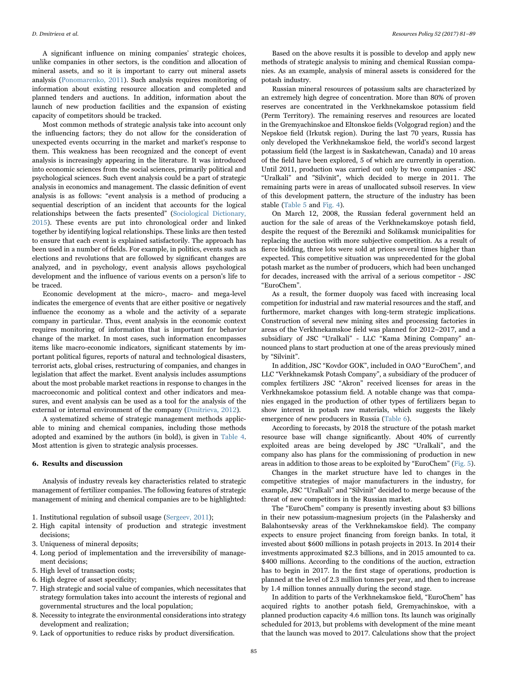A significant influence on mining companies' strategic choices, unlike companies in other sectors, is the condition and allocation of mineral assets, and so it is important to carry out mineral assets analysis [\(Ponomarenko, 2011](#page-8-5)). Such analysis requires monitoring of information about existing resource allocation and completed and planned tenders and auctions. In addition, information about the launch of new production facilities and the expansion of existing capacity of competitors should be tracked.

Most common methods of strategic analysis take into account only the influencing factors; they do not allow for the consideration of unexpected events occurring in the market and market's response to them. This weakness has been recognized and the concept of event analysis is increasingly appearing in the literature. It was introduced into economic sciences from the social sciences, primarily political and psychological sciences. Such event analysis could be a part of strategic analysis in economics and management. The classic definition of event analysis is as follows: "event analysis is a method of producing a sequential description of an incident that accounts for the logical relationships between the facts presented" [\(Sociological Dictionary,](#page-8-33) [2015\)](#page-8-33). These events are put into chronological order and linked together by identifying logical relationships. These links are then tested to ensure that each event is explained satisfactorily. The approach has been used in a number of fields. For example, in politics, events such as elections and revolutions that are followed by significant changes are analyzed, and in psychology, event analysis allows psychological development and the influence of various events on a person's life to be traced.

Economic development at the micro-, macro- and mega-level indicates the emergence of events that are either positive or negatively influence the economy as a whole and the activity of a separate company in particular. Thus, event analysis in the economic context requires monitoring of information that is important for behavior change of the market. In most cases, such information encompasses items like macro-economic indicators, significant statements by important political figures, reports of natural and technological disasters, terrorist acts, global crises, restructuring of companies, and changes in legislation that affect the market. Event analysis includes assumptions about the most probable market reactions in response to changes in the macroeconomic and political context and other indicators and measures, and event analysis can be used as a tool for the analysis of the external or internal environment of the company [\(Dmitrieva, 2012](#page-8-34)).

A systematized scheme of strategic management methods applicable to mining and chemical companies, including those methods adopted and examined by the authors (in bold), is given in [Table 4.](#page-5-0) Most attention is given to strategic analysis processes.

#### 6. Results and discussion

Analysis of industry reveals key characteristics related to strategic management of fertilizer companies. The following features of strategic management of mining and chemical companies are to be highlighted:

- 1. Institutional regulation of subsoil usage [\(Sergeev, 2011](#page-8-35));
- 2. High capital intensity of production and strategic investment decisions;
- 3. Uniqueness of mineral deposits;
- 4. Long period of implementation and the irreversibility of management decisions;
- 5. High level of transaction costs;
- 6. High degree of asset specificity;
- 7. High strategic and social value of companies, which necessitates that strategy formulation takes into account the interests of regional and governmental structures and the local population;
- 8. Necessity to integrate the environmental considerations into strategy development and realization;
- 9. Lack of opportunities to reduce risks by product diversification.

Based on the above results it is possible to develop and apply new methods of strategic analysis to mining and chemical Russian companies. As an example, analysis of mineral assets is considered for the potash industry.

Russian mineral resources of potassium salts are characterized by an extremely high degree of concentration. More than 80% of proven reserves are concentrated in the Verkhnekamskoe potassium field (Perm Territory). The remaining reserves and resources are located in the Gremyachinskoe and Eltonskoe fields (Volgograd region) and the Nepskoe field (Irkutsk region). During the last 70 years, Russia has only developed the Verkhnekamskoe field, the world's second largest potassium field (the largest is in Saskatchewan, Canada) and 10 areas of the field have been explored, 5 of which are currently in operation. Until 2011, production was carried out only by two companies - JSC "Uralkali" and "Silvinit", which decided to merge in 2011. The remaining parts were in areas of unallocated subsoil reserves. In view of this development pattern, the structure of the industry has been stable [\(Table 5](#page-6-0) and [Fig. 4\)](#page-6-1).

On March 12, 2008, the Russian federal government held an auction for the sale of areas of the Verkhnekamskoye potash field, despite the request of the Berezniki and Solikamsk municipalities for replacing the auction with more subjective competition. As a result of fierce bidding, three lots were sold at prices several times higher than expected. This competitive situation was unprecedented for the global potash market as the number of producers, which had been unchanged for decades, increased with the arrival of a serious competitor - JSC "EuroChem".

As a result, the former duopoly was faced with increasing local competition for industrial and raw material resources and the staff, and furthermore, market changes with long-term strategic implications. Construction of several new mining sites and processing factories in areas of the Verkhnekamskoe field was planned for 2012–2017, and a subsidiary of JSC "Uralkali" - LLC "Kama Mining Company" announced plans to start production at one of the areas previously mined by "Silvinit".

In addition, JSC "Kovdor GOK", included in OAO "EuroChem", and LLC "Verkhnekamsk Potash Company", a subsidiary of the producer of complex fertilizers JSC "Akron" received licenses for areas in the Verkhnekamskoe potassium field. A notable change was that companies engaged in the production of other types of fertilizers began to show interest in potash raw materials, which suggests the likely emergence of new producers in Russia ([Table 6\)](#page-6-2).

According to forecasts, by 2018 the structure of the potash market resource base will change significantly. About 40% of currently exploited areas are being developed by JSC "Uralkali", and the company also has plans for the commissioning of production in new areas in addition to those areas to be exploited by "EuroChem" ([Fig. 5\)](#page-6-3).

Changes in the market structure have led to changes in the competitive strategies of major manufacturers in the industry, for example, JSC "Uralkali" and "Silvinit" decided to merge because of the threat of new competitors in the Russian market.

The "EuroChem" company is presently investing about \$3 billions in their new potassium-magnesium projects (in the Palashersky and Balahontsevsky areas of the Verkhnekamskoe field). The company expects to ensure project financing from foreign banks. In total, it invested about \$600 millions in potash projects in 2013. In 2014 their investments approximated \$2.3 billions, and in 2015 amounted to ca. \$400 millions. According to the conditions of the auction, extraction has to begin in 2017. In the first stage of operations, production is planned at the level of 2.3 million tonnes per year, and then to increase by 1.4 million tonnes annually during the second stage.

In addition to parts of the Verkhnekamskoe field, "EuroChem" has acquired rights to another potash field, Gremyachinskoe, with a planned production capacity 4.6 million tons. Its launch was originally scheduled for 2013, but problems with development of the mine meant that the launch was moved to 2017. Calculations show that the project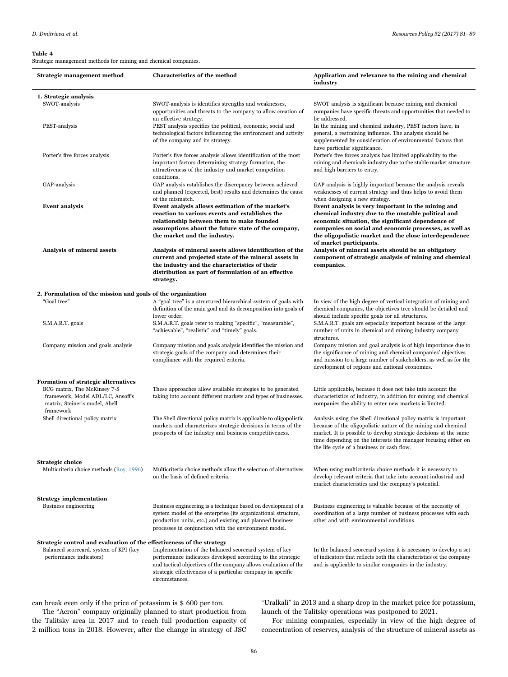<span id="page-5-0"></span>Strategic management methods for mining and chemical companies.

| Strategic management method                                                                                      | Characteristics of the method                                                                                                                                                                                                                                             | Application and relevance to the mining and chemical<br>industry                                                                                                                                                                                    |
|------------------------------------------------------------------------------------------------------------------|---------------------------------------------------------------------------------------------------------------------------------------------------------------------------------------------------------------------------------------------------------------------------|-----------------------------------------------------------------------------------------------------------------------------------------------------------------------------------------------------------------------------------------------------|
| 1. Strategic analysis                                                                                            |                                                                                                                                                                                                                                                                           |                                                                                                                                                                                                                                                     |
| SWOT-analysis                                                                                                    | SWOT-analysis is identifies strengths and weaknesses,                                                                                                                                                                                                                     | SWOT analysis is significant because mining and chemical                                                                                                                                                                                            |
|                                                                                                                  | opportunities and threats to the company to allow creation of<br>an effective strategy.                                                                                                                                                                                   | companies have specific threats and opportunities that needed to<br>be addressed.                                                                                                                                                                   |
| PEST-analysis                                                                                                    | PEST analysis specifies the political, economic, social and                                                                                                                                                                                                               | In the mining and chemical industry, PEST factors have, in                                                                                                                                                                                          |
|                                                                                                                  | technological factors influencing the environment and activity                                                                                                                                                                                                            | general, a restraining influence. The analysis should be                                                                                                                                                                                            |
|                                                                                                                  | of the company and its strategy.                                                                                                                                                                                                                                          | supplemented by consideration of environmental factors that<br>have particular significance.                                                                                                                                                        |
| Porter's five forces analysis                                                                                    | Porter's five forces analysis allows identification of the most<br>important factors determining strategy formation, the<br>attractiveness of the industry and market competition                                                                                         | Porter's five forces analysis has limited applicability to the<br>mining and chemicals industry due to the stable market structure<br>and high barriers to entry.                                                                                   |
| GAP-analysis                                                                                                     | conditions.<br>GAP analysis establishes the discrepancy between achieved<br>and planned (expected, best) results and determines the cause                                                                                                                                 | GAP analysis is highly important because the analysis reveals<br>weaknesses of current strategy and thus helps to avoid them                                                                                                                        |
|                                                                                                                  | of the mismatch.                                                                                                                                                                                                                                                          | when designing a new strategy.                                                                                                                                                                                                                      |
| <b>Event analysis</b>                                                                                            | Event analysis allows estimation of the market's                                                                                                                                                                                                                          | Event analysis is very important in the mining and                                                                                                                                                                                                  |
|                                                                                                                  | reaction to various events and establishes the                                                                                                                                                                                                                            | chemical industry due to the unstable political and                                                                                                                                                                                                 |
|                                                                                                                  | relationship between them to make founded                                                                                                                                                                                                                                 | economic situation, the significant dependence of                                                                                                                                                                                                   |
|                                                                                                                  | assumptions about the future state of the company,                                                                                                                                                                                                                        | companies on social and economic processes, as well as                                                                                                                                                                                              |
|                                                                                                                  | the market and the industry.                                                                                                                                                                                                                                              | the oligopolistic market and the close interdependence<br>of market participants.                                                                                                                                                                   |
| Analysis of mineral assets                                                                                       | Analysis of mineral assets allows identification of the<br>current and projected state of the mineral assets in<br>the industry and the characteristics of their                                                                                                          | Analysis of mineral assets should be an obligatory<br>component of strategic analysis of mining and chemical<br>companies.                                                                                                                          |
|                                                                                                                  | distribution as part of formulation of an effective<br>strategy.                                                                                                                                                                                                          |                                                                                                                                                                                                                                                     |
| 2. Formulation of the mission and goals of the organization                                                      |                                                                                                                                                                                                                                                                           |                                                                                                                                                                                                                                                     |
| "Goal tree"                                                                                                      | A "goal tree" is a structured hierarchical system of goals with<br>definition of the main goal and its decomposition into goals of                                                                                                                                        | In view of the high degree of vertical integration of mining and<br>chemical companies, the objectives tree should be detailed and                                                                                                                  |
| S.M.A.R.T. goals                                                                                                 | lower order.<br>S.M.A.R.T. goals refer to making "specific", "measurable",                                                                                                                                                                                                | should include specific goals for all structures.<br>S.M.A.R.T. goals are especially important because of the large                                                                                                                                 |
|                                                                                                                  | "achievable", "realistic" and "timely" goals.                                                                                                                                                                                                                             | number of units in chemical and mining industry company<br>structures.                                                                                                                                                                              |
| Company mission and goals analysis                                                                               | Company mission and goals analysis identifies the mission and                                                                                                                                                                                                             | Company mission and goal analysis is of high importance due to                                                                                                                                                                                      |
|                                                                                                                  | strategic goals of the company and determines their<br>compliance with the required criteria.                                                                                                                                                                             | the significance of mining and chemical companies' objectives<br>and mission to a large number of stakeholders, as well as for the<br>development of regions and national economies.                                                                |
| Formation of strategic alternatives                                                                              |                                                                                                                                                                                                                                                                           |                                                                                                                                                                                                                                                     |
| BCG matrix, The McKinsey 7-S<br>framework, Model ADL/LC, Ansoff's<br>matrix, Steiner's model, Abell<br>framework | These approaches allow available strategies to be generated<br>taking into account different markets and types of businesses.                                                                                                                                             | Little applicable, because it does not take into account the<br>characteristics of industry, in addition for mining and chemical<br>companies the ability to enter new markets is limited.                                                          |
| Shell directional policy matrix                                                                                  | The Shell directional policy matrix is applicable to oligopolistic                                                                                                                                                                                                        | Analysis using the Shell directional policy matrix is important                                                                                                                                                                                     |
|                                                                                                                  | markets and characterizes strategic decisions in terms of the<br>prospects of the industry and business competitiveness.                                                                                                                                                  | because of the oligopolistic nature of the mining and chemical<br>market. It is possible to develop strategic decisions at the same<br>time depending on the interests the manager focusing either on<br>the life cycle of a business or cash flow. |
| Strategic choice                                                                                                 |                                                                                                                                                                                                                                                                           |                                                                                                                                                                                                                                                     |
| Multicriteria choice methods (Roy, 1996)                                                                         | Multicriteria choice methods allow the selection of alternatives<br>on the basis of defined criteria.                                                                                                                                                                     | When using multicriteria choice methods it is necessary to<br>develop relevant criteria that take into account industrial and<br>market characteristics and the company's potential.                                                                |
| <b>Strategy implementation</b>                                                                                   |                                                                                                                                                                                                                                                                           |                                                                                                                                                                                                                                                     |
| Business engineering                                                                                             | Business engineering is a technique based on development of a                                                                                                                                                                                                             | Business engineering is valuable because of the necessity of                                                                                                                                                                                        |
|                                                                                                                  | system model of the enterprise (its organizational structure,<br>production units, etc.) and existing and planned business<br>processes in conjunction with the environment model.                                                                                        | coordination of a large number of business processes with each<br>other and with environmental conditions.                                                                                                                                          |
| Strategic control and evaluation of the effectiveness of the strategy                                            |                                                                                                                                                                                                                                                                           |                                                                                                                                                                                                                                                     |
| Balanced scorecard. system of KPI (key<br>performance indicators)                                                | Implementation of the balanced scorecard system of key<br>performance indicators developed according to the strategic<br>and tactical objectives of the company allows evaluation of the<br>strategic effectiveness of a particular company in specific<br>circumstances. | In the balanced scorecard system it is necessary to develop a set<br>of indicators that reflects both the characteristics of the company<br>and is applicable to similar companies in the industry.                                                 |
|                                                                                                                  |                                                                                                                                                                                                                                                                           |                                                                                                                                                                                                                                                     |

can break even only if the price of potassium is \$ 600 per ton.

The "Aсron" company originally planned to start production from the Talitsky area in 2017 and to reach full production capacity of 2 million tons in 2018. However, after the change in strategy of JSC "Uralkali" in 2013 and a sharp drop in the market price for potassium, launch of the Talitsky operations was postponed to 2021.

For mining companies, especially in view of the high degree of concentration of reserves, analysis of the structure of mineral assets as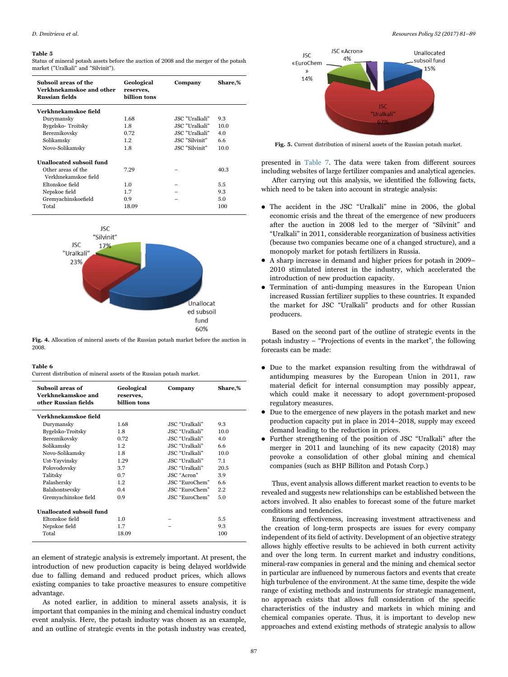<span id="page-6-0"></span>Status of mineral potash assets before the auction of 2008 and the merger of the potash market ("Uralkali" and "Silvinit").

| Subsoil areas of the<br>Verkhnekamskoe and other<br><b>Russian fields</b> | Geological<br>reserves,<br>billion tons | Company        | Share,% |
|---------------------------------------------------------------------------|-----------------------------------------|----------------|---------|
| Verkhnekamskoe field                                                      |                                         |                |         |
| Durymansky                                                                | 1.68                                    | JSC "Uralkali" | 9.3     |
| Bygelsko-Troitsky                                                         | 1.8                                     | JSC "Uralkali" | 10.0    |
| Bereznikovsky                                                             | 0.72                                    | JSC "Uralkali" | 4.0     |
| Solikamsky                                                                | 1.2                                     | JSC "Silvinit" | 6.6     |
| Novo-Solikamsky                                                           | 1.8                                     | JSC "Silvinit" | 10.0    |
| Unallocated subsoil fund                                                  |                                         |                |         |
| Other areas of the                                                        | 7.29                                    |                | 40.3    |
| Verkhnekamskoe field                                                      |                                         |                |         |
| Eltonskoe field                                                           | 1.0                                     |                | 5.5     |
| Nepskoe field                                                             | 1.7                                     |                | 9.3     |
| Gremyachinskoefield                                                       | 0.9                                     |                | 5.0     |
| Total                                                                     | 18.09                                   |                | 100     |

<span id="page-6-1"></span>

Fig. 4. Allocation of mineral assets of the Russian potash market before the auction in 2008.

#### <span id="page-6-2"></span>Table 6

Current distribution of mineral assets of the Russian potash market.

| Subsoil areas of<br>Verkhnekamskoe and<br>other Russian fields | Geological<br>reserves,<br>billion tons | Company        | Share,% |
|----------------------------------------------------------------|-----------------------------------------|----------------|---------|
| Verkhnekamskoe field                                           |                                         |                |         |
| Durymansky                                                     | 1.68                                    | JSC "Uralkali" | 9.3     |
| Bygelsko-Troitsky                                              | 1.8                                     | JSC "Uralkali" | 10.0    |
| Bereznikovsky                                                  | 0.72                                    | JSC "Uralkali" | 40      |
| Solikamsky                                                     | 1.2                                     | JSC "Uralkali" | 66      |
| Novo-Solikamsky                                                | 1.8                                     | JSC "Uralkali" | 10.0    |
| Ust-Yayvinsky                                                  | 1.29                                    | JSC "Uralkali" | 71      |
| Polovodovsky                                                   | 3.7                                     | JSC "Uralkali" | 20.5    |
| Talitsky                                                       | 0.7                                     | JSC "Acron"    | 3.9     |
| Palashersky                                                    | 1.2                                     | JSC "EuroChem" | 6.6     |
| Balahontsevsky                                                 | 0.4                                     | JSC "EuroChem" | 22      |
| Gremyachinskoe field                                           | 0.9                                     | JSC "EuroChem" | 5.0     |
| Unallocated subsoil fund                                       |                                         |                |         |
| Eltonskoe field                                                | 1.0                                     |                | 5.5     |
| Nepskoe field                                                  | 1.7                                     |                | 9.3     |
| Total                                                          | 18.09                                   |                | 100     |

an element of strategic analysis is extremely important. At present, the introduction of new production capacity is being delayed worldwide due to falling demand and reduced product prices, which allows existing companies to take proactive measures to ensure competitive advantage.

As noted earlier, in addition to mineral assets analysis, it is important that companies in the mining and chemical industry conduct event analysis. Here, the potash industry was chosen as an example, and an outline of strategic events in the potash industry was created,

<span id="page-6-3"></span>

Fig. 5. Current distribution of mineral assets of the Russian potash market.

presented in [Table 7.](#page-7-0) The data were taken from different sources including websites of large fertilizer companies and analytical agencies. After carrying out this analysis, we identified the following facts,

which need to be taken into account in strategic analysis:

- The accident in the JSC "Uralkali" mine in 2006, the global economic crisis and the threat of the emergence of new producers after the auction in 2008 led to the merger of "Silvinit" and "Uralkali" in 2011, considerable reorganization of business activities (because two companies became one of a changed structure), and a monopoly market for potash fertilizers in Russia.
- A sharp increase in demand and higher prices for potash in 2009– 2010 stimulated interest in the industry, which accelerated the introduction of new production capacity.
- Termination of anti-dumping measures in the European Union increased Russian fertilizer supplies to these countries. It expanded the market for JSC "Uralkali" products and for other Russian producers.

Based on the second part of the outline of strategic events in the potash industry – "Projections of events in the market", the following forecasts can be made:

- Due to the market expansion resulting from the withdrawal of antidumping measures by the European Union in 2011, raw material deficit for internal consumption may possibly appear, which could make it necessary to adopt government-proposed regulatory measures.
- Due to the emergence of new players in the potash market and new production capacity put in place in 2014–2018, supply may exceed demand leading to the reduction in prices.
- Further strengthening of the position of JSC "Uralkali" after the merger in 2011 and launching of its new capacity (2018) may provoke a consolidation of other global mining and chemical companies (such as BHP Billiton and Potash Corp.)

Thus, event analysis allows different market reaction to events to be revealed and suggests new relationships can be established between the actors involved. It also enables to forecast some of the future market conditions and tendencies.

Ensuring effectiveness, increasing investment attractiveness and the creation of long-term prospects are issues for every company independent of its field of activity. Development of an objective strategy allows highly effective results to be achieved in both current activity and over the long term. In current market and industry conditions, mineral-raw companies in general and the mining and chemical sector in particular are influenced by numerous factors and events that create high turbulence of the environment. At the same time, despite the wide range of existing methods and instruments for strategic management, no approach exists that allows full consideration of the specific characteristics of the industry and markets in which mining and chemical companies operate. Thus, it is important to develop new approaches and extend existing methods of strategic analysis to allow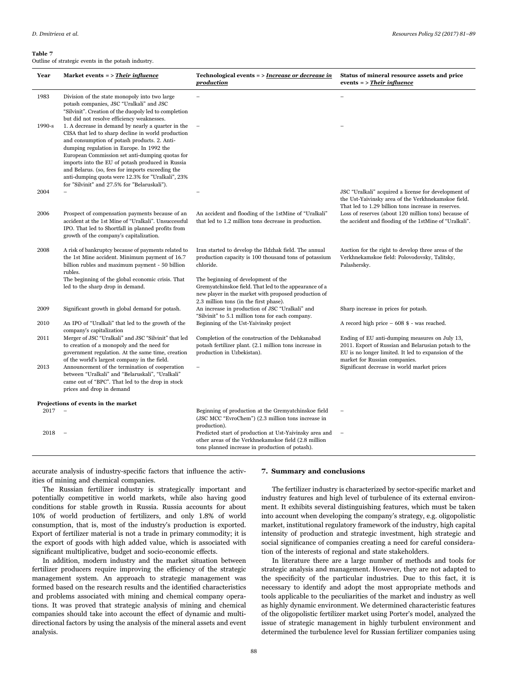<span id="page-7-0"></span>

| Outline of strategic events in the potash industry. |  |  |
|-----------------------------------------------------|--|--|

| Year   | Market events $=$ > Their influence                                                                                                                                                                                                                                                                                                                                                                                                                                   | Technological events = > Increase or decrease in<br><b>production</b>                                                                                                                           | Status of mineral resource assets and price<br>events $=$ > Their influence                                                                                                                    |
|--------|-----------------------------------------------------------------------------------------------------------------------------------------------------------------------------------------------------------------------------------------------------------------------------------------------------------------------------------------------------------------------------------------------------------------------------------------------------------------------|-------------------------------------------------------------------------------------------------------------------------------------------------------------------------------------------------|------------------------------------------------------------------------------------------------------------------------------------------------------------------------------------------------|
| 1983   | Division of the state monopoly into two large<br>potash companies, JSC "Uralkali" and JSC<br>"Silvinit". Creation of the duopoly led to completion<br>but did not resolve efficiency weaknesses.                                                                                                                                                                                                                                                                      |                                                                                                                                                                                                 | $\equiv$                                                                                                                                                                                       |
| 1990-s | 1. A decrease in demand by nearly a quarter in the<br>CISA that led to sharp decline in world production<br>and consumption of potash products. 2. Anti-<br>dumping regulation in Europe. In 1992 the<br>European Commission set anti-dumping quotas for<br>imports into the EU of potash produced in Russia<br>and Belarus. (so, fees for imports exceeding the<br>anti-dumping quota were 12.3% for "Uralkali", 23%<br>for "Silvinit" and 27.5% for "Belaruskali"). |                                                                                                                                                                                                 |                                                                                                                                                                                                |
| 2004   |                                                                                                                                                                                                                                                                                                                                                                                                                                                                       |                                                                                                                                                                                                 | JSC "Uralkali" acquired a license for development of<br>the Ust-Yaivinsky area of the Verkhnekamskoe field.<br>That led to 1.29 billion tons increase in reserves.                             |
| 2006   | Prospect of compensation payments because of an<br>accident at the 1st Mine of "Uralkali". Unsuccessful<br>IPO. That led to Shortfall in planned profits from<br>growth of the company's capitalization.                                                                                                                                                                                                                                                              | An accident and flooding of the 1stMine of "Uralkali"<br>that led to 1.2 million tons decrease in production.                                                                                   | Loss of reserves (about 120 million tons) because of<br>the accident and flooding of the 1stMine of "Uralkali".                                                                                |
| 2008   | A risk of bankruptcy because of payments related to<br>the 1st Mine accident. Minimum payment of 16.7<br>billion rubles and maximum payment - 50 billion<br>rubles.                                                                                                                                                                                                                                                                                                   | Iran started to develop the Ildzhak field. The annual<br>production capacity is 100 thousand tons of potassium<br>chloride.                                                                     | Auction for the right to develop three areas of the<br>Verkhnekamskoe field: Polovodovsky, Talitsky,<br>Palashersky.                                                                           |
|        | The beginning of the global economic crisis. That<br>led to the sharp drop in demand.                                                                                                                                                                                                                                                                                                                                                                                 | The beginning of development of the<br>Gremyatchinskoe field. That led to the appearance of a<br>new player in the market with proposed production of<br>2.3 million tons (in the first phase). |                                                                                                                                                                                                |
| 2009   | Significant growth in global demand for potash.                                                                                                                                                                                                                                                                                                                                                                                                                       | An increase in production of JSC "Uralkali" and<br>"Silvinit" to 5.1 million tons for each company.                                                                                             | Sharp increase in prices for potash.                                                                                                                                                           |
| 2010   | An IPO of "Uralkali" that led to the growth of the<br>company's capitalization                                                                                                                                                                                                                                                                                                                                                                                        | Beginning of the Ust-Yaivinsky project                                                                                                                                                          | A record high price - 608 \$ - was reached.                                                                                                                                                    |
| 2011   | Merger of JSC "Uralkali" and JSC "Silvinit" that led<br>to creation of a monopoly and the need for<br>government regulation. At the same time, creation<br>of the world's largest company in the field.                                                                                                                                                                                                                                                               | Completion of the construction of the Dehkanabad<br>potash fertilizer plant. (2.1 million tons increase in<br>production in Uzbekistan).                                                        | Ending of EU anti-dumping measures on July 13,<br>2011. Export of Russian and Belarusian potash to the<br>EU is no longer limited. It led to expansion of the<br>market for Russian companies. |
| 2013   | Announcement of the termination of cooperation<br>between "Uralkali" and "Belaruskali", "Uralkali"<br>came out of "BPC". That led to the drop in stock<br>prices and drop in demand                                                                                                                                                                                                                                                                                   |                                                                                                                                                                                                 | Significant decrease in world market prices                                                                                                                                                    |
|        | Projections of events in the market                                                                                                                                                                                                                                                                                                                                                                                                                                   |                                                                                                                                                                                                 |                                                                                                                                                                                                |
| 2017   |                                                                                                                                                                                                                                                                                                                                                                                                                                                                       | Beginning of production at the Gremyatchinskoe field<br>(JSC MCC "EvroChem") (2.3 million tons increase in<br>production).                                                                      |                                                                                                                                                                                                |
| 2018   |                                                                                                                                                                                                                                                                                                                                                                                                                                                                       | Predicted start of production at Ust-Yaivinsky area and<br>other areas of the Verkhnekamskoe field (2.8 million<br>tons planned increase in production of potash).                              | $\qquad \qquad -$                                                                                                                                                                              |

accurate analysis of industry-specific factors that influence the activities of mining and chemical companies.

The Russian fertilizer industry is strategically important and potentially competitive in world markets, while also having good conditions for stable growth in Russia. Russia accounts for about 10% of world production of fertilizers, and only 1.8% of world consumption, that is, most of the industry's production is exported. Export of fertilizer material is not a trade in primary commodity; it is the export of goods with high added value, which is associated with significant multiplicative, budget and socio-economic effects.

In addition, modern industry and the market situation between fertilizer producers require improving the efficiency of the strategic management system. An approach to strategic management was formed based on the research results and the identified characteristics and problems associated with mining and chemical company operations. It was proved that strategic analysis of mining and chemical companies should take into account the effect of dynamic and multidirectional factors by using the analysis of the mineral assets and event analysis.

### 7. Summary and conclusions

The fertilizer industry is characterized by sector-specific market and industry features and high level of turbulence of its external environment. It exhibits several distinguishing features, which must be taken into account when developing the company's strategy, e.g. oligopolistic market, institutional regulatory framework of the industry, high capital intensity of production and strategic investment, high strategic and social significance of companies creating a need for careful consideration of the interests of regional and state stakeholders.

In literature there are a large number of methods and tools for strategic analysis and management. However, they are not adapted to the specificity of the particular industries. Due to this fact, it is necessary to identify and adopt the most appropriate methods and tools applicable to the peculiarities of the market and industry as well as highly dynamic environment. We determined characteristic features of the oligopolistic fertilizer market using Porter's model, analyzed the issue of strategic management in highly turbulent environment and determined the turbulence level for Russian fertilizer companies using